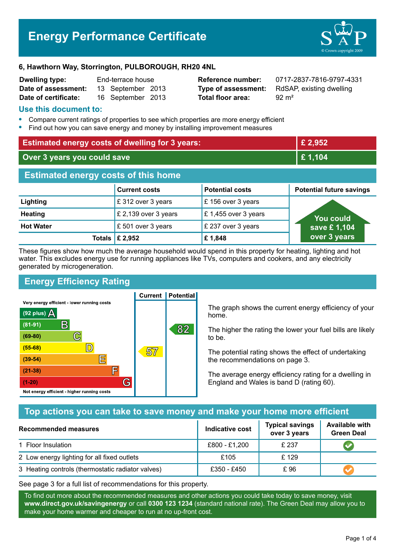# **Energy Performance Certificate**



#### **6, Hawthorn Way, Storrington, PULBOROUGH, RH20 4NL**

| <b>Dwelling type:</b> | End-terrace house |                   |  |
|-----------------------|-------------------|-------------------|--|
| Date of assessment:   |                   | 13 September 2013 |  |
| Date of certificate:  |                   | 16 September 2013 |  |

**Total floor area:** 92 m<sup>2</sup>

**Reference number:** 0717-2837-7816-9797-4331 **Type of assessment:** RdSAP, existing dwelling

#### **Use this document to:**

- **•** Compare current ratings of properties to see which properties are more energy efficient
- **•** Find out how you can save energy and money by installing improvement measures

| <b>Estimated energy costs of dwelling for 3 years:</b> |                           |                        | £ 2,952                         |  |
|--------------------------------------------------------|---------------------------|------------------------|---------------------------------|--|
| Over 3 years you could save                            |                           | £1,104                 |                                 |  |
| <b>Estimated energy costs of this home</b>             |                           |                        |                                 |  |
|                                                        | <b>Current costs</b>      | <b>Potential costs</b> | <b>Potential future savings</b> |  |
| Lighting                                               | £ 312 over 3 years        | £156 over 3 years      |                                 |  |
| <b>Heating</b>                                         | £ 2,139 over 3 years      | £ 1,455 over 3 years   | You could                       |  |
| <b>Hot Water</b>                                       | £501 over 3 years         | £ 237 over 3 years     | save £1,104                     |  |
|                                                        | Totals $\mathsf{E}$ 2,952 | £1,848                 | over 3 years                    |  |

These figures show how much the average household would spend in this property for heating, lighting and hot water. This excludes energy use for running appliances like TVs, computers and cookers, and any electricity generated by microgeneration.

**Current | Potential** 

# **Energy Efficiency Rating**

Very energy efficient - lower running costs



The graph shows the current energy efficiency of your home.

The higher the rating the lower your fuel bills are likely to be.

The potential rating shows the effect of undertaking the recommendations on page 3.

The average energy efficiency rating for a dwelling in England and Wales is band D (rating 60).

# **Top actions you can take to save money and make your home more efficient**

| <b>Recommended measures</b>                       | Indicative cost | <b>Typical savings</b><br>over 3 years | <b>Available with</b><br><b>Green Deal</b> |
|---------------------------------------------------|-----------------|----------------------------------------|--------------------------------------------|
| 1 Floor Insulation                                | £800 - £1,200   | £ 237                                  |                                            |
| 2 Low energy lighting for all fixed outlets       | £105            | £ 129                                  |                                            |
| 3 Heating controls (thermostatic radiator valves) | £350 - £450     | £96                                    |                                            |

See page 3 for a full list of recommendations for this property.

To find out more about the recommended measures and other actions you could take today to save money, visit **www.direct.gov.uk/savingenergy** or call **0300 123 1234** (standard national rate). The Green Deal may allow you to make your home warmer and cheaper to run at no up-front cost.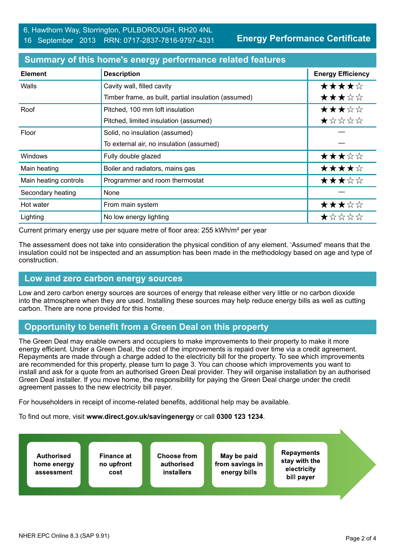**Energy Performance Certificate**

| <b>Element</b>        | <b>Description</b>                                   | <b>Energy Efficiency</b> |
|-----------------------|------------------------------------------------------|--------------------------|
| Walls                 | Cavity wall, filled cavity                           | ★★★★☆                    |
|                       | Timber frame, as built, partial insulation (assumed) | ★★★☆☆                    |
| Roof                  | Pitched, 100 mm loft insulation                      | ★★★☆☆                    |
|                       | Pitched, limited insulation (assumed)                | ★☆☆☆☆                    |
| Floor                 | Solid, no insulation (assumed)                       |                          |
|                       | To external air, no insulation (assumed)             |                          |
| <b>Windows</b>        | Fully double glazed                                  | ★★★☆☆                    |
| Main heating          | Boiler and radiators, mains gas                      | ★★★★☆                    |
| Main heating controls | Programmer and room thermostat                       | ★★★☆☆                    |
| Secondary heating     | None                                                 |                          |
| Hot water             | From main system                                     | ★★★☆☆                    |
| Lighting              | No low energy lighting                               | *****                    |

#### **Summary of this home's energy performance related features**

Current primary energy use per square metre of floor area: 255 kWh/m² per year

The assessment does not take into consideration the physical condition of any element. 'Assumed' means that the insulation could not be inspected and an assumption has been made in the methodology based on age and type of construction.

#### **Low and zero carbon energy sources**

Low and zero carbon energy sources are sources of energy that release either very little or no carbon dioxide into the atmosphere when they are used. Installing these sources may help reduce energy bills as well as cutting carbon. There are none provided for this home.

# **Opportunity to benefit from a Green Deal on this property**

The Green Deal may enable owners and occupiers to make improvements to their property to make it more energy efficient. Under a Green Deal, the cost of the improvements is repaid over time via a credit agreement. Repayments are made through a charge added to the electricity bill for the property. To see which improvements are recommended for this property, please turn to page 3. You can choose which improvements you want to install and ask for a quote from an authorised Green Deal provider. They will organise installation by an authorised Green Deal installer. If you move home, the responsibility for paying the Green Deal charge under the credit agreement passes to the new electricity bill payer.

For householders in receipt of income-related benefits, additional help may be available.

To find out more, visit **www.direct.gov.uk/savingenergy** or call **0300 123 1234**.

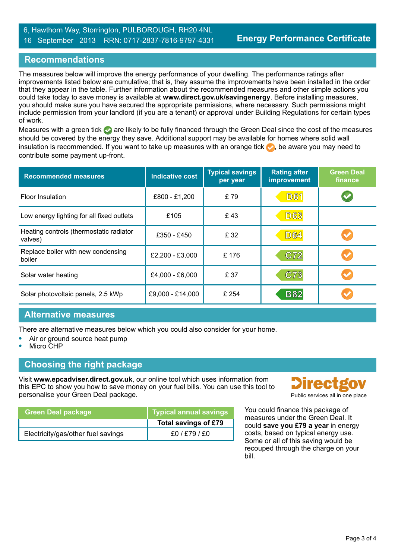#### 6, Hawthorn Way, Storrington, PULBOROUGH, RH20 4NL 16 September 2013 RRN: 0717-2837-7816-9797-4331

## **Recommendations**

The measures below will improve the energy performance of your dwelling. The performance ratings after improvements listed below are cumulative; that is, they assume the improvements have been installed in the order that they appear in the table. Further information about the recommended measures and other simple actions you could take today to save money is available at **www.direct.gov.uk/savingenergy**. Before installing measures, you should make sure you have secured the appropriate permissions, where necessary. Such permissions might include permission from your landlord (if you are a tenant) or approval under Building Regulations for certain types of work.

Measures with a green tick are likely to be fully financed through the Green Deal since the cost of the measures should be covered by the energy they save. Additional support may be available for homes where solid wall insulation is recommended. If you want to take up measures with an orange tick  $\bullet$ , be aware you may need to contribute some payment up-front.

| <b>Recommended measures</b>                        | <b>Indicative cost</b><br>per year |       | <b>Typical savings</b><br><b>Rating after</b><br><b>improvement</b> |  |
|----------------------------------------------------|------------------------------------|-------|---------------------------------------------------------------------|--|
| <b>Floor Insulation</b>                            | £800 - £1,200                      | £79   | <b>D61</b>                                                          |  |
| Low energy lighting for all fixed outlets          | £105                               | £43   | <b>D63</b>                                                          |  |
| Heating controls (thermostatic radiator<br>valves) | £350 - £450                        | £ 32  | <b>D64</b>                                                          |  |
| Replace boiler with new condensing<br>boiler       | £2,200 - £3,000                    | £176  | C72                                                                 |  |
| Solar water heating                                | £4,000 - £6,000                    | £ 37  | C73                                                                 |  |
| Solar photovoltaic panels, 2.5 kWp                 | £9,000 - £14,000                   | £ 254 | <b>B82</b>                                                          |  |

#### **Alternative measures**

There are alternative measures below which you could also consider for your home.

- **•** Air or ground source heat pump
- **•** Micro CHP

#### **Choosing the right package**

Visit **www.epcadviser.direct.gov.uk**, our online tool which uses information from this EPC to show you how to save money on your fuel bills. You can use this tool to personalise your Green Deal package. **Public services all in one place** part of the place of the place of the place

| l Green Deal package ∣             | Typical annual savings |
|------------------------------------|------------------------|
|                                    | Total savings of £79   |
| Electricity/gas/other fuel savings | f0/ f79/ f0            |



You could finance this package of measures under the Green Deal. It could **save you £79 a year** in energy costs, based on typical energy use. Some or all of this saving would be recouped through the charge on your bill.